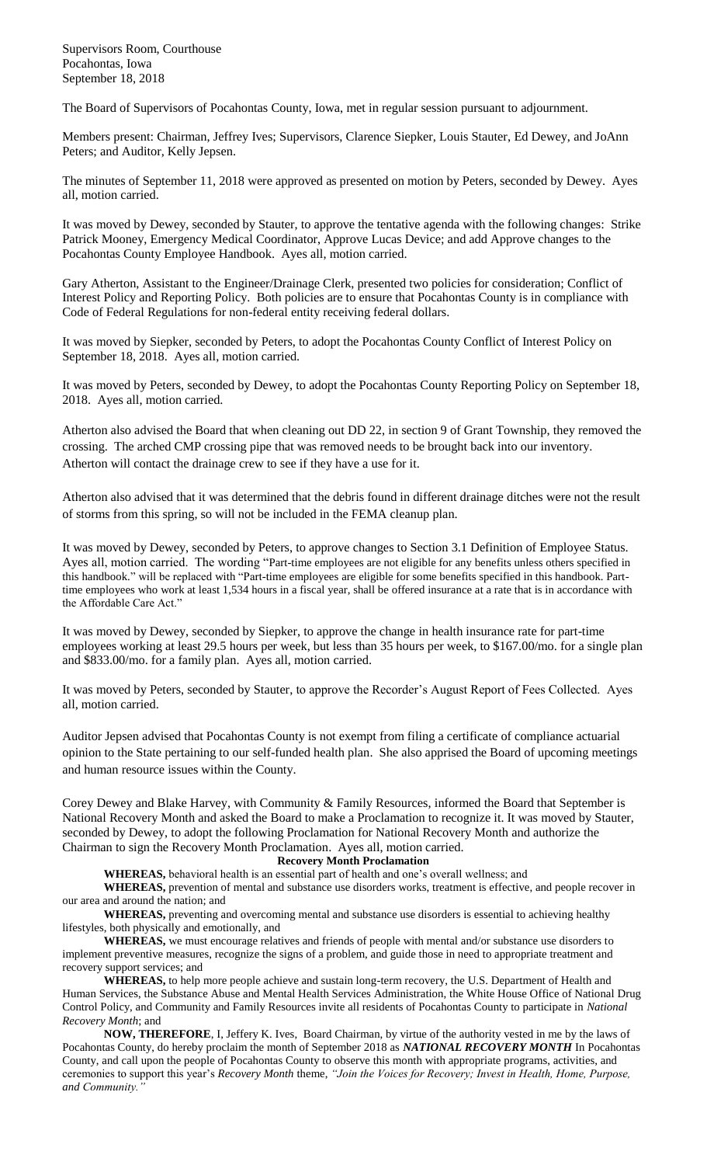Supervisors Room, Courthouse Pocahontas, Iowa September 18, 2018

The Board of Supervisors of Pocahontas County, Iowa, met in regular session pursuant to adjournment.

Members present: Chairman, Jeffrey Ives; Supervisors, Clarence Siepker, Louis Stauter, Ed Dewey, and JoAnn Peters; and Auditor, Kelly Jepsen.

The minutes of September 11, 2018 were approved as presented on motion by Peters, seconded by Dewey. Ayes all, motion carried.

It was moved by Dewey, seconded by Stauter, to approve the tentative agenda with the following changes: Strike Patrick Mooney, Emergency Medical Coordinator, Approve Lucas Device; and add Approve changes to the Pocahontas County Employee Handbook. Ayes all, motion carried.

Gary Atherton, Assistant to the Engineer/Drainage Clerk, presented two policies for consideration; Conflict of Interest Policy and Reporting Policy. Both policies are to ensure that Pocahontas County is in compliance with Code of Federal Regulations for non-federal entity receiving federal dollars.

It was moved by Siepker, seconded by Peters, to adopt the Pocahontas County Conflict of Interest Policy on September 18, 2018. Ayes all, motion carried.

It was moved by Peters, seconded by Dewey, to adopt the Pocahontas County Reporting Policy on September 18, 2018. Ayes all, motion carried.

Atherton also advised the Board that when cleaning out DD 22, in section 9 of Grant Township, they removed the crossing. The arched CMP crossing pipe that was removed needs to be brought back into our inventory. Atherton will contact the drainage crew to see if they have a use for it.

Atherton also advised that it was determined that the debris found in different drainage ditches were not the result of storms from this spring, so will not be included in the FEMA cleanup plan.

It was moved by Dewey, seconded by Peters, to approve changes to Section 3.1 Definition of Employee Status. Ayes all, motion carried. The wording "Part-time employees are not eligible for any benefits unless others specified in this handbook." will be replaced with "Part-time employees are eligible for some benefits specified in this handbook. Parttime employees who work at least 1,534 hours in a fiscal year, shall be offered insurance at a rate that is in accordance with the Affordable Care Act."

It was moved by Dewey, seconded by Siepker, to approve the change in health insurance rate for part-time employees working at least 29.5 hours per week, but less than 35 hours per week, to \$167.00/mo. for a single plan and \$833.00/mo. for a family plan. Ayes all, motion carried.

It was moved by Peters, seconded by Stauter, to approve the Recorder's August Report of Fees Collected. Ayes all, motion carried.

Auditor Jepsen advised that Pocahontas County is not exempt from filing a certificate of compliance actuarial opinion to the State pertaining to our self-funded health plan. She also apprised the Board of upcoming meetings and human resource issues within the County.

Corey Dewey and Blake Harvey, with Community & Family Resources, informed the Board that September is National Recovery Month and asked the Board to make a Proclamation to recognize it. It was moved by Stauter, seconded by Dewey, to adopt the following Proclamation for National Recovery Month and authorize the Chairman to sign the Recovery Month Proclamation. Ayes all, motion carried.

## **Recovery Month Proclamation**

**WHEREAS,** behavioral health is an essential part of health and one's overall wellness; and

**WHEREAS,** prevention of mental and substance use disorders works, treatment is effective, and people recover in our area and around the nation; and

**WHEREAS,** preventing and overcoming mental and substance use disorders is essential to achieving healthy lifestyles, both physically and emotionally, and

**WHEREAS,** we must encourage relatives and friends of people with mental and/or substance use disorders to implement preventive measures, recognize the signs of a problem, and guide those in need to appropriate treatment and recovery support services; and

**WHEREAS,** to help more people achieve and sustain long-term recovery, the U.S. Department of Health and Human Services, the Substance Abuse and Mental Health Services Administration, the White House Office of National Drug Control Policy, and Community and Family Resources invite all residents of Pocahontas County to participate in *National Recovery Month*; and

**NOW, THEREFORE**, I, Jeffery K. Ives, Board Chairman, by virtue of the authority vested in me by the laws of Pocahontas County, do hereby proclaim the month of September 2018 as *NATIONAL RECOVERY MONTH* In Pocahontas County, and call upon the people of Pocahontas County to observe this month with appropriate programs, activities, and ceremonies to support this year's *Recovery Month* theme, *"Join the Voices for Recovery; Invest in Health, Home, Purpose, and Community."*